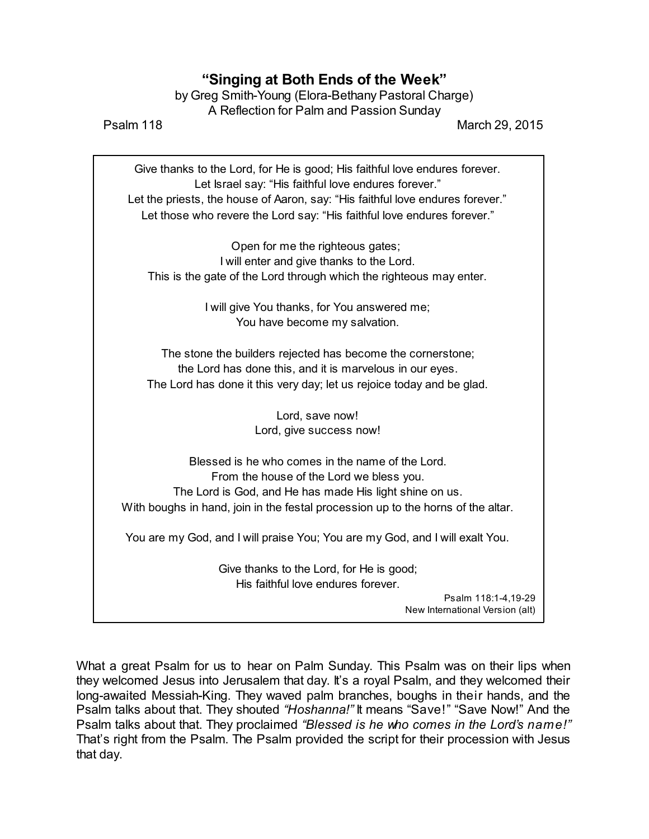## **"Singing at Both Ends of the Week"**

by Greg Smith-Young (Elora-Bethany Pastoral Charge) A Reflection for Palm and Passion Sunday

Psalm 118 March 29, 2015

Give thanks to the Lord, for He is good; His faithful love endures forever. Let Israel say: "His faithful love endures forever." Let the priests, the house of Aaron, say: "His faithful love endures forever." Let those who revere the Lord say: "His faithful love endures forever."

Open for me the righteous gates; I will enter and give thanks to the Lord. This is the gate of the Lord through which the righteous may enter.

> I will give You thanks, for You answered me; You have become my salvation.

The stone the builders rejected has become the cornerstone; the Lord has done this, and it is marvelous in our eyes. The Lord has done it this very day; let us rejoice today and be glad.

> Lord, save now! Lord, give success now!

Blessed is he who comes in the name of the Lord. From the house of the Lord we bless you. The Lord is God, and He has made His light shine on us. With boughs in hand, join in the festal procession up to the horns of the altar.

You are my God, and I will praise You; You are my God, and I will exalt You.

Give thanks to the Lord, for He is good; His faithful love endures forever.

> Psalm 118:1-4,19-29 New International Version (alt)

What a great Psalm for us to hear on Palm Sunday. This Psalm was on their lips when they welcomed Jesus into Jerusalem that day. It's a royal Psalm, and they welcomed their long-awaited Messiah-King. They waved palm branches, boughs in their hands, and the Psalm talks about that. They shouted *"Hoshanna!"* It means "Save!" "Save Now!" And the Psalm talks about that. They proclaimed *"Blessed is he who comes in the Lord's name!"* That's right from the Psalm. The Psalm provided the script for their procession with Jesus that day.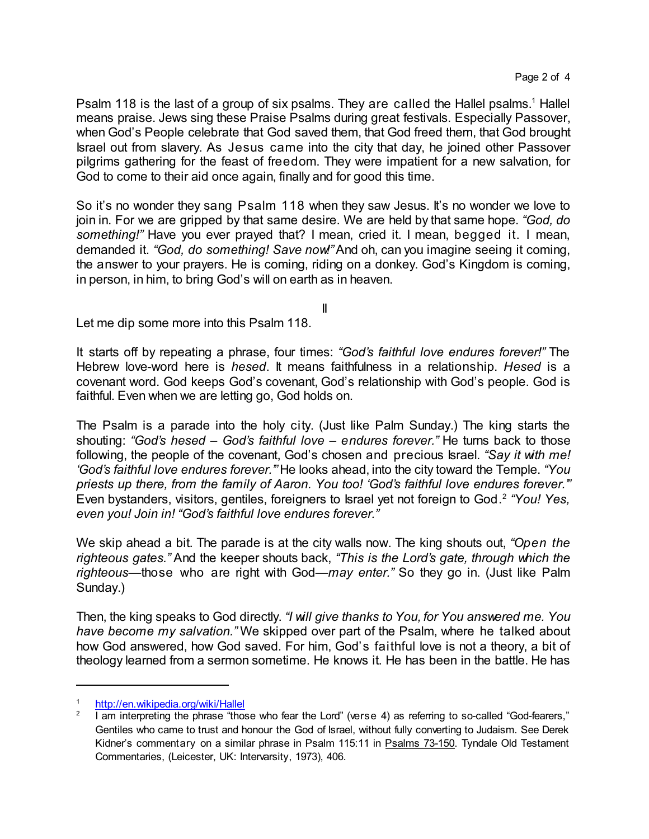Psalm 118 is the last of a group of six psalms. They are called the Hallel psalms.<sup>1</sup> Hallel means praise. Jews sing these Praise Psalms during great festivals. Especially Passover, when God's People celebrate that God saved them, that God freed them, that God brought Israel out from slavery. As Jesus came into the city that day, he joined other Passover pilgrims gathering for the feast of freedom. They were impatient for a new salvation, for God to come to their aid once again, finally and for good this time.

So it's no wonder they sang Psalm 118 when they saw Jesus. It's no wonder we love to join in. For we are gripped by that same desire. We are held by that same hope. *"God, do something!"* Have you ever prayed that? I mean, cried it. I mean, begged it. I mean, demanded it. *"God, do something! Save now!"*And oh, can you imagine seeing it coming, the answer to your prayers. He is coming, riding on a donkey. God's Kingdom is coming, in person, in him, to bring God's will on earth as in heaven.

II

Let me dip some more into this Psalm 118.

It starts off by repeating a phrase, four times: *"God's faithful love endures forever!"* The Hebrew love-word here is *hesed*. It means faithfulness in a relationship. *Hesed* is a covenant word. God keeps God's covenant, God's relationship with God's people. God is faithful. Even when we are letting go, God holds on.

The Psalm is a parade into the holy city. (Just like Palm Sunday.) The king starts the shouting: *"God's hesed – God's faithful love – endures forever."* He turns back to those following, the people of the covenant, God's chosen and precious Israel. *"Say it with me! 'God's faithful love endures forever.'"* He looks ahead, into the city toward the Temple. *"You priests up there, from the family of Aaron. You too! 'God's faithful love endures forever.'"* Even bystanders, visitors, gentiles, foreigners to Israel yet not foreign to God. 2 *"You! Yes, even you! Join in! "God's faithful love endures forever."*

We skip ahead a bit. The parade is at the city walls now. The king shouts out, *"Open the righteous gates."* And the keeper shouts back, *"This is the Lord's gate, through which the righteous—*those who are right with God*—may enter."* So they go in. (Just like Palm Sunday.)

Then, the king speaks to God directly. *"I will give thanks to You, for You answered me. You have become my salvation."* We skipped over part of the Psalm, where he talked about how God answered, how God saved. For him, God's faithful love is not a theory, a bit of theology learned from a sermon sometime. He knows it. He has been in the battle. He has

<http://en.wikipedia.org/wiki/Hallel>

<sup>2</sup> I am interpreting the phrase "those who fear the Lord" (verse 4) as referring to so-called "God-fearers," Gentiles who came to trust and honour the God of Israel, without fully converting to Judaism. See Derek Kidner's commentary on a similar phrase in Psalm 115:11 in Psalms 73-150. Tyndale Old Testament Commentaries, (Leicester, UK: Intervarsity, 1973), 406.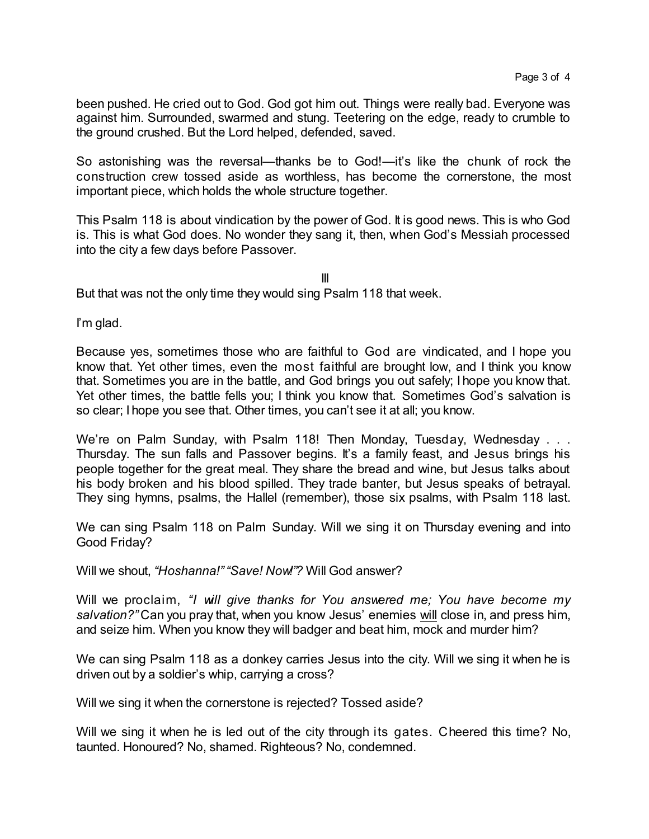been pushed. He cried out to God. God got him out. Things were really bad. Everyone was against him. Surrounded, swarmed and stung. Teetering on the edge, ready to crumble to the ground crushed. But the Lord helped, defended, saved.

So astonishing was the reversal—thanks be to God!—it's like the chunk of rock the construction crew tossed aside as worthless, has become the cornerstone, the most important piece, which holds the whole structure together.

This Psalm 118 is about vindication by the power of God. It is good news. This is who God is. This is what God does. No wonder they sang it, then, when God's Messiah processed into the city a few days before Passover.

III But that was not the only time they would sing Psalm 118 that week.

I'm glad.

Because yes, sometimes those who are faithful to God are vindicated, and I hope you know that. Yet other times, even the most faithful are brought low, and I think you know that. Sometimes you are in the battle, and God brings you out safely; I hope you know that. Yet other times, the battle fells you; I think you know that. Sometimes God's salvation is so clear; I hope you see that. Other times, you can't see it at all; you know.

We're on Palm Sunday, with Psalm 118! Then Monday, Tuesday, Wednesday . . . Thursday. The sun falls and Passover begins. It's a family feast, and Jesus brings his people together for the great meal. They share the bread and wine, but Jesus talks about his body broken and his blood spilled. They trade banter, but Jesus speaks of betrayal. They sing hymns, psalms, the Hallel (remember), those six psalms, with Psalm 118 last.

We can sing Psalm 118 on Palm Sunday. Will we sing it on Thursday evening and into Good Friday?

Will we shout, *"Hoshanna!""Save! Now!"?* Will God answer?

Will we proclaim, *"I will give thanks for You answered me; You have become my salvation?"* Can you pray that, when you know Jesus' enemies will close in, and press him, and seize him. When you know they will badger and beat him, mock and murder him?

We can sing Psalm 118 as a donkey carries Jesus into the city. Will we sing it when he is driven out by a soldier's whip, carrying a cross?

Will we sing it when the cornerstone is rejected? Tossed aside?

Will we sing it when he is led out of the city through its gates. Cheered this time? No, taunted. Honoured? No, shamed. Righteous? No, condemned.